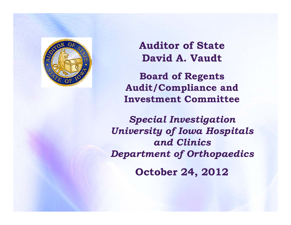

**Auditor of State David A. Vaudt**

**Board of Regents Audit/Compliance and Investment Committee**

*Special Investigation University of Iowa Hospitals and ClinicsDepartment of Orthopaedics* **October 24, 2012**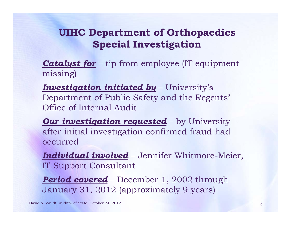*Catalyst for* – tip from employee (IT equipment missing)

*Investigation initiated by* – University's Department of Public Safety and the Regents' Office of Internal Audit

*Our investigation requested* – by University after initial investigation confirmed fraud had occurred

*Individual involved* – Jennifer Whitmore-Meier, IT Support Consultant

*Period covered* – December 1, 2002 through January 31, 2012 (approximately 9 years)

David A. Vaudt, Auditor of State, October 24, 2012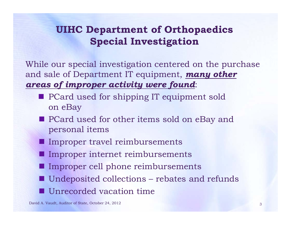While our special investigation centered on the purchase and sale of Department IT equipment, *many other areas of improper activity were found*:

- **PCard used for shipping IT equipment sold** on eBay
- **PCard used for other items sold on eBay and** personal items
- **Improper travel reimbursements**
- **Improper internet reimbursements**
- **Improper cell phone reimbursements**
- Undeposited collections rebates and refunds ■ Unrecorded vacation time

David A. Vaudt, Auditor of State, October 24, 2012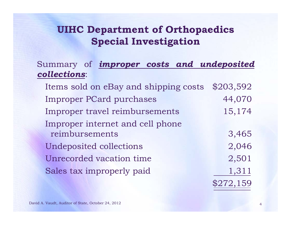### Summary of *improper costs and undeposited collections*:

Items sold on eBay and shipping costs \$203,592 Improper PCard purchases 44,070 Improper travel reimbursements 15,174 Improper internet and cell phone reimbursements 3,465 Undeposited collections 2,046 Unrecorded vacation time  $2,501$ Sales tax improperly paid 1,311 \$272,159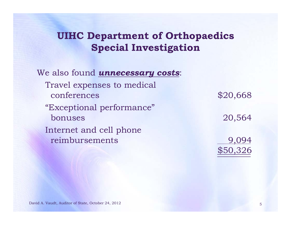We also found *unnecessary costs*: Travel expenses to medical conferences \$20,668 "Exceptional performance" bonuses 20,564 Internet and cell phone reimbursements 9,094 \$50,326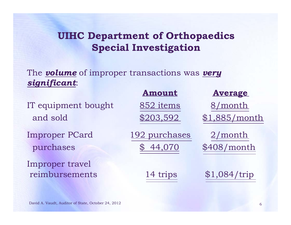The *volume* of improper transactions was *very significant*:

|                       | Amount        | <b>Average</b> |
|-----------------------|---------------|----------------|
| IT equipment bought   | 852 items     | /month         |
| and sold              | \$203,592     | \$1,885/month  |
| <b>Improper PCard</b> | 192 purchases | 2/month        |
| purchases             | 44,070        | \$408/month    |
| Improper travel       |               |                |
| reimbursements        | 14 trips      | \$1,084/trip   |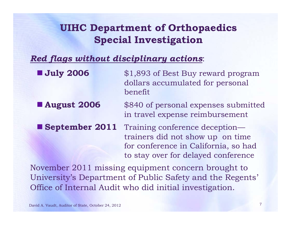#### *Red flags without disciplinary actions*:

| <b>July 2006</b>   | \$1,893 of Best Buy reward program<br>dollars accumulated for personal<br>benefit                                                                 |
|--------------------|---------------------------------------------------------------------------------------------------------------------------------------------------|
| <b>August 2006</b> | \$840 of personal expenses submitted<br>in travel expense reimbursement                                                                           |
| September 2011     | Training conference deception—<br>trainers did not show up on time<br>for conference in California, so had<br>to stay over for delayed conference |
|                    | November 2011 missing equipment concern brought to                                                                                                |

University's Department of Public Safety and the Regents' Office of Internal Audit who did initial investigation.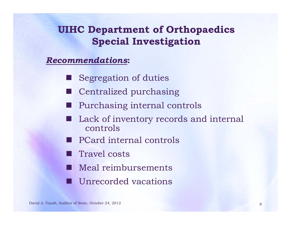#### *Recommendations***:**

- **Segregation of duties**
- Centralized purchasing
- Purchasing internal controls
- Lack of inventory records and internal controls
- PCard internal controls
- **Travel costs**
- **Meal reimbursements**
- $\Box$ Unrecorded vacations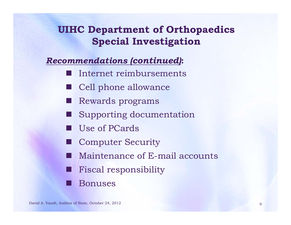#### *Recommendations (continued)***:**

- Internet reimbursements
- Cell phone allowance
- H Rewards programs
- Supporting documentation
- Use of PCards
- Computer Security
- Maintenance of E-mail accounts
- Fiscal responsibility
- Bonuses